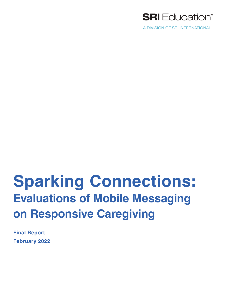

A DIVISION OF SRI INTERNATIONAL

# **Sparking Connections: Evaluations of Mobile Messaging on Responsive Caregiving**

**Final Report February 2022**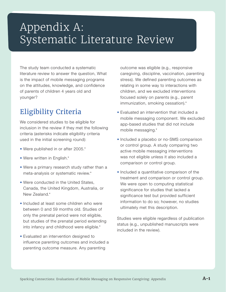## Appendix A: Systematic Literature Review

The study team conducted a systematic literature review to answer the question, What is the impact of mobile messaging programs on the attitudes, knowledge, and confidence of parents of children 4 years old and younger?

## Eligibility Criteria

We considered studies to be eligible for inclusion in the review if they met the following criteria (asterisks indicate eligibility criteria used in the initial screening round):

- Were published in or after 2005.\*
- Were written in English.\*
- Were a primary research study rather than a meta-analysis or systematic review.\*
- Were conducted in the United States, Canada, the United Kingdom, Australia, or New Zealand.\*
- Included at least some children who were between 0 and 59 months old. Studies of only the prenatal period were not eligible, but studies of the prenatal period extending into infancy and childhood were eligible.\*
- Evaluated an intervention designed to influence parenting outcomes and included a parenting outcome measure. Any parenting

outcome was eligible (e.g., responsive caregiving, discipline, vaccination, parenting stress). We defined parenting outcomes as relating in some way to interactions with children, and we excluded interventions focused solely on parents (e.g., parent immunization, smoking cessation).\*

- Evaluated an intervention that included a mobile messaging component. We excluded app-based studies that did not include mobile messaging.\*
- Included a placebo or no-SMS comparison or control group. A study comparing two active mobile messaging interventions was not eligible unless it also included a comparison or control group.
- Included a quantitative comparison of the treatment and comparison or control group. We were open to computing statistical significance for studies that lacked a significance test but provided sufficient information to do so; however, no studies ultimately met this description.

Studies were eligible regardless of publication status (e.g., unpublished manuscripts were included in the review).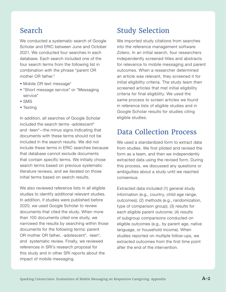### Search

We conducted a systematic search of Google Scholar and ERIC between June and October 2021. We conducted four searches in each database. Each search included one of the four search terms from the following list in combination with the phrase "parent OR mother OR father."

- Mobile OR text message\*
- "Short message service" or "Messaging service"
- SMS
- Texting

In addition, all searches of Google Scholar included the search terms -adolescent\* and -teen\*—the minus signs indicating that documents with these terms should not be included in the search results. We did not include these terms in ERIC searches because that database cannot exclude documents that contain specific terms. We initially chose search terms based on previous systematic literature reviews, and we iterated on those initial terms based on search results.

We also reviewed reference lists in all eligible studies to identify additional relevant studies. In addition, if studies were published before 2020, we used Google Scholar to review documents that cited the study. When more than 100 documents cited one study, we narrowed the results by searching within those documents for the following terms: parent OR mother OR father, -adolescent\*, -teen\*, and systematic review. Finally, we reviewed references in SRI's research proposal for this study and in other SRI reports about the impact of mobile messaging.

## Study Selection

We imported study citations from searches into the reference management software Zotero. In an initial search, four researchers independently screened titles and abstracts for relevance to mobile messaging and parent outcomes. When a researcher determined an article was relevant, they screened it for initial eligibility criteria. The study team then screened articles that met initial eligibility criteria for final eligibility. We used the same process to screen articles we found in reference lists of eligible studies and in Google Scholar results for studies citing eligible studies.

### Data Collection Process

We used a standardized form to extract data from studies. We first piloted and revised the form as a team, and then we independently extracted data using the revised form. During this process, we discussed any questions or ambiguities about a study until we reached consensus.

Extracted data included (1) general study information (e.g., country, child age range, outcomes); (2) methods (e.g., randomization, type of comparison group); (3) results for each eligible parent outcome; (4) results of subgroup comparisons conducted on eligible outcomes (e.g., by parent age, native language, or household income). When studies reported on multiple follow-ups, we extracted outcomes from the first time point after the end of the intervention.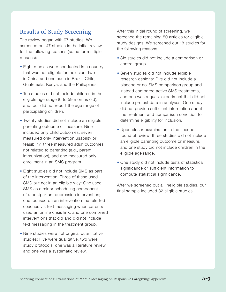#### Results of Study Screening

The review began with 97 studies. We screened out 47 studies in the initial review for the following reasons (some for multiple reasons):

- Eight studies were conducted in a country that was not eligible for inclusion: two in China and one each in Brazil, Chile, Guatemala, Kenya, and the Philippines.
- Ten studies did not include children in the eligible age range (0 to 59 months old), and four did not report the age range of participating children.
- Twenty studies did not include an eligible parenting outcome or measure: Nine included only child outcomes, seven measured only intervention usability or feasibility, three measured adult outcomes not related to parenting (e.g., parent immunization), and one measured only enrollment in an SMS program.
- Eight studies did not include SMS as part of the intervention. Three of these used SMS but not in an eligible way: One used SMS as a minor scheduling component of a postpartum depression intervention; one focused on an intervention that alerted coaches via text messaging when parents used an online crisis link; and one combined interventions that did and did not include text messaging in the treatment group.
- Nine studies were not original quantitative studies: Five were qualitative, two were study protocols, one was a literature review, and one was a systematic review.

After this initial round of screening, we screened the remaining 50 articles for eligible study designs. We screened out 18 studies for the following reasons:

- Six studies did not include a comparison or control group.
- Seven studies did not include eligible research designs: Five did not include a placebo or no-SMS comparison group and instead compared active SMS treatments, and one was a quasi-experiment that did not include pretest data in analyses. One study did not provide sufficient information about the treatment and comparison condition to determine eligibility for inclusion.
- Upon closer examination in the second round of review, three studies did not include an eligible parenting outcome or measure, and one study did not include children in the eligible age range.
- One study did not include tests of statistical significance or sufficient information to compute statistical significance.

After we screened out all ineligible studies, our final sample included 32 eligible studies.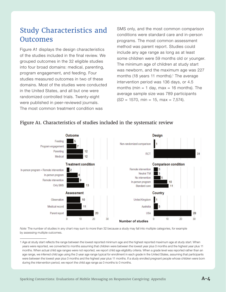## Study Characteristics and **Outcomes**

Figure A1 displays the design characteristics of the studies included in the final review. We grouped outcomes in the 32 eligible studies into four broad domains: medical, parenting, program engagement, and feeding. Four studies measured outcomes in two of these domains. Most of the studies were conducted in the United States, and all but one were randomized controlled trials. Twenty-eight were published in peer-reviewed journals. The most common treatment condition was

SMS only, and the most common comparison conditions were standard care and in-person programs. The most common assessment method was parent report. Studies could include any age range as long as at least some children were 59 months old or younger. The minimum age of children at study start was newborn, and the maximum age was 227 months (18 years 11 months).<sup>1</sup> The average intervention period was 136 days, or 4.5 months (min = 1 day, max = 16 months). The average sample size was 789 participants  $(SD = 1570, \text{min} = 15, \text{max} = 7,574).$ 



#### Figure A1. Characteristics of studies included in the systematic review

*Note:* The number of studies in any chart may sum to more than 32 because a study may fall into multiple categories, for example by assessing multiple outcomes.

<sup>1</sup> Age at study start reflects the range between the lowest reported minimum age and the highest reported maximum age at study start. When years were reported, we converted to months assuming that children were between the lowest year plus 0 months and the highest year plus 11 months. When actual child age ranges were not reported, we report child age eligibility criteria. When a grade level was reported rather than an age range, we inferred child age using the 2-year age range typical for enrollment in each grade in the United States, assuming that participants were between the lowest year plus 0 months and the highest year plus 11 months. If a study enrolled pregnant people whose children were born during the intervention period, we report the child age range as 0 months to 0 months.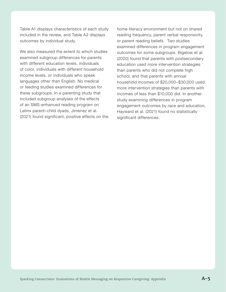Table A1 displays characteristics of each study included in the review, and Table A2 displays outcomes by individual study.

We also measured the extent to which studies examined subgroup differences for parents with different education levels, individuals of color, individuals with different household income levels, or individuals who speak languages other than English. No medical or feeding studies examined differences for these subgroups. In a parenting study that included subgroup analyses of the effects of an SMS-enhanced reading program on Latinx parent–child dyads, Jimenez et al. (2021) found significant, positive effects on the home literacy environment but not on shared reading frequency, parent verbal responsivity, or parent reading beliefs. Two studies examined differences in program engagement outcomes for some subgroups. Bigelow et al. (2020) found that parents with postsecondary education used more intervention strategies than parents who did not complete high school, and that parents with annual household incomes of \$20,000–\$30,000 used more intervention strategies than parents with incomes of less than \$10,000 did. In another study examining differences in program engagement outcomes by race and education, Hayward et al. (2021) found no statistically significant differences.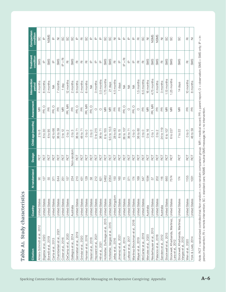|                                                                  |                      | <b>Nrandomized</b> | Design     | Child age (months)            | Assessment              | period                 | condition                                                           | Comparison<br>condition                   |
|------------------------------------------------------------------|----------------------|--------------------|------------|-------------------------------|-------------------------|------------------------|---------------------------------------------------------------------|-------------------------------------------|
| 2012<br>Ahlers-Schmidt et al.,                                   | <b>United States</b> | 8                  | <b>ROT</b> | 2 to 6                        | WR                      | 4 months               | <b>SMS</b>                                                          | SS                                        |
| Bigelow et al., 2020                                             | <b>United States</b> | 127                | RCT        | 6 to 30                       | PR, O                   | 8 months               | $\mathbf{\underline{\underline{o}}}$                                | $\underline{\mathtt{o}}$                  |
| Borrelli et al., 2019                                            | <b>United States</b> | 55                 | RCT        | 6 to 95                       | $\mathbb{E}$            | 2 months               | SMS                                                                 | NSMS                                      |
| Carta et al., 2013                                               | <b>United States</b> | 371                | RCT        | 42 to 66                      | $\circ$<br>PÉ,          | $\lessgtr$             | $\underline{\mathtt{o}}$                                            | $\mathrel{\underline{\mathsf{a}}}$        |
| 2021<br>Chamberlain et al.                                       | <b>United States</b> | 644                | ROT        | 36 to 59                      | $\mathbb{R}$            | 7 months               | <b>SMS</b>                                                          | $\overline{z}$                            |
| 2016<br>Coker et al.,                                            | <b>United States</b> | 251                | RCT        | $0$ to $12$                   | $\overline{\mathbb{M}}$ | day                    | $\begin{array}{c}\n\overline{P} \\ + \\ \overline{P}\n\end{array}$  | S                                         |
| 2020<br>DeCamp et al.,                                           | <b>United States</b> | 157                | ROT        | $\mathbb{N}$<br>$\frac{1}{2}$ | PR, MR                  | 12 months              | $\overline{\mathbb{C}}$                                             | S                                         |
| 2014<br>Gallegos et al.,                                         | Australia            | 234                | Non-random | 0 to 3                        | $\mathbb{R}$            | 2 months               | <b>SMS</b>                                                          | S                                         |
| Gennetian et al., 2019                                           | United States        | 210                | ROT        | 36 to 71                      | PR, O                   | 9 months               | $\overline{\underline{\alpha}}$                                     | $\underline{\mathsf{a}}$                  |
| Grindal et al., 2020                                             | <b>United States</b> | 431                | RCT        | 48 to 71                      | $\mathop{\mathbb{E}}$   | 2 months               | $\overline{\underline{\mathsf{\alpha}}}$                            | $\overline{\underline{\alpha}}$           |
| Hannan et al., 2016                                              | <b>United States</b> | 129                | ROT        | $0$ to $0$                    | PR, MR                  | 6 months               | $\overline{\underline{\alpha}}$                                     | S                                         |
| Harari et al., 2018                                              | <b>United States</b> | 58                 | ROT        | $0$ to $0$                    | O<br>ΡÉ                 | ≸                      | $\mathbf{\underline{\underline{\alpha}}}$                           | $\mathrel{\underline{\mathsf{a}}}$        |
| 2021<br>Hayward et al.,                                          | <b>United States</b> | 212                | RCT        | 0 to 215                      | O                       | months<br>S            | $\overline{\overline{\sigma}}$                                      | ≙                                         |
| Hill et al., 2021                                                | <b>United States</b> | 621                | ROT        | 36 to 71                      | $\circ$                 | 3.5 months             | $\mathbf{\underline{\underline{\alpha}}}$                           | $\mathrel{\underline{\mathsf{a}}}$        |
| 2015<br>Hofstetter, DuRivage et al.,                             | <b>United States</b> | 5462               | ROT        | 6 to 155                      | WR                      | 1.75 months            | SMS                                                                 | S                                         |
| Hofstetter, Vargas et al., 2015                                  | <b>United States</b> | 2054               | ROT        | $9.5$ to $10.5$               | WR                      | 21 days                | <b>SMS</b>                                                          | S                                         |
| Jelley et al., 2016                                              | United Kingdom       | 150                | RCT        | 28 to 83                      | $\mathop{\mathbb{E}}$   | 4.5 months             | $\overline{\underline{\mathsf{\alpha}}}$                            | $\overline{\geq}$                         |
| Jimenez et al., 2021                                             | <b>United States</b> | 160                | RCT        | 6 to 15                       | $\mathbb{E}$            | 1 days                 | $\mathrel{\underline{\mathsf{a}}}$                                  | $\mathbf{\underline{\underline{\alpha}}}$ |
| Jones et al., 2014                                               | <b>United States</b> | $\frac{5}{1}$      | ROT        | 36 to 107                     | O<br>РĆ.                | ₹                      | $\overline{\mathfrak{a}}$<br>$\stackrel{+}{\underline{\mathsf{p}}}$ | $\mathrel{\underline{\mathsf{a}}}$        |
| 2017<br>Lefever et al.,                                          | <b>United States</b> | 371                | RCT        | 36 to 71                      | O                       | $\lessgtr$             | $\overline{\mathbb{F}}$                                             | ≙                                         |
| 2018<br>$\frac{1}{\sigma}$<br>$\vec{\circ}$<br>Martinez-Brockman | <b>United States</b> | 174                | RCT        | $0$ to $0$                    | $\circ$<br>РĆ,          | $\frac{1}{2}$          | $\overline{\mathbb{F}}$                                             | $\mathbf{\underline{\underline{\alpha}}}$ |
| .2019<br>Mayer et al.                                            | <b>United States</b> | 169                | RCT        | 36 to 60                      | $\bigcirc$              | 1.5 months             | $\overline{\underline{\mathsf{\alpha}}}$                            | $\overline{\mathbb{C}}$                   |
| McCarter et al., 2019                                            | <b>United States</b> | 547                | ROT        | $0$ to $0$                    | $\mathop{\mathbb{E}}$   | 6.5 months             | $\overline{\underline{\alpha}}$                                     | S                                         |
| Menzies et al., 2020                                             | Australia            | 1594               | RCT        | 0 to 16                       | $\overline{\mathbb{R}}$ | 16 months              | SMS                                                                 | $\bar{z}$                                 |
| Niederhauser et al., 2015                                        | <b>United States</b> | 57                 | RCT        | $0$ to 1                      | PR, MR                  | 4.75 months            | SMS                                                                 | NSMS                                      |
| 2018<br>Palacios et al.,                                         | <b>United States</b> | 202                | ROT        | $0$ to $2$                    | 匠                       | 4 months               | <b>SMS</b>                                                          | NSMS                                      |
| 2012<br>Sanders et al.,                                          | Australia            | 116                | RCT        | 24 to 119                     | $\mathop{\mathbb{E}}$   | months<br>က            | $\overline{\underline{\alpha}}$                                     | $\overline{z}$                            |
| 2015<br>Stockwell et al.                                         | United States        | 660                | <b>RCT</b> | 6 to 107                      | ΜR                      | 1.13 months            | SMS                                                                 | 8                                         |
| Stockwell, Kharbanda, Martinez,<br>Lara et al., 2012             | <b>United States</b> | 7574               | RCT        | 6 to 227                      | ξ                       | 1.25 months            | SMS                                                                 | S                                         |
| Stockwell, Kharbanda, Martinez,<br>Vargas et al., 2012           | <b>United States</b> | 174                | RCT        | $7$ to $22$                   | ΨR                      | days<br>$\overline{4}$ | <b>SMS</b>                                                          | S                                         |
| Wen et al., 2020                                                 | United States        | 1155               | RCT        | $0$ to $0$                    | $\mathop{\mathbb{E}}$   | 10 months              | $\overline{\underline{\alpha}}$                                     | $\overline{\underline{\alpha}}$           |
| 2014<br>York & Loeb,                                             | United States        | 1031               | ROT        | 48 to 59                      | $\mathbb{R}$            | months<br>$\infty$     | SMS                                                                 | $\bar{z}$                                 |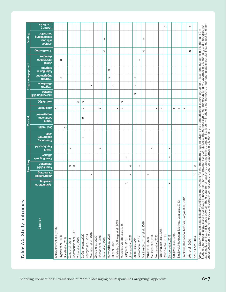|                                                     |                                   |                                     | Parenting                          |                                              |                                                                 |                    |                                             |                                  |                                  |                                      | Program engagement           |                                              |                                   |                                     |  |
|-----------------------------------------------------|-----------------------------------|-------------------------------------|------------------------------------|----------------------------------------------|-----------------------------------------------------------------|--------------------|---------------------------------------------|----------------------------------|----------------------------------|--------------------------------------|------------------------------|----------------------------------------------|-----------------------------------|-------------------------------------|--|
| Citation                                            | parenting<br><b>Dysfunctional</b> | for learning<br><b>SeitinutoddO</b> | interaction<br><b>Parent-child</b> | <b>Parent</b><br>etticacy<br>Parenting self- | <b>atialv</b><br>pepartment<br>Emergency<br><b>Psychosocial</b> | <b>Oral health</b> | engagennent<br>health care<br><b>Parent</b> | <b>Vaccination</b>               | (a)tiaiv lleW                    | practice<br><b>Ilixe moitremtion</b> | attendance<br><b>Program</b> | Retention in<br>engagement<br><b>Program</b> | intervention<br>to seU<br>program | <b>Buibeetteeding</b><br>səigətrina |  |
| Ahlers-Schmidt et al., 2012                         |                                   |                                     |                                    |                                              |                                                                 |                    |                                             | $\circ$                          |                                  |                                      |                              |                                              |                                   |                                     |  |
| Bigelow et al., 2020                                |                                   |                                     |                                    |                                              |                                                                 |                    |                                             |                                  |                                  |                                      |                              | $\circ$                                      | $\circ$                           |                                     |  |
| Borrelli et al., 2019                               |                                   |                                     |                                    |                                              |                                                                 | $\circ$            |                                             |                                  |                                  |                                      |                              |                                              |                                   |                                     |  |
| Carta et al., 2013                                  |                                   |                                     | $\circ$                            | $\circ$                                      |                                                                 |                    |                                             |                                  |                                  |                                      |                              |                                              | $\ddot{}$                         |                                     |  |
| Chamberlain et al., 2021                            |                                   |                                     | $\circ$                            |                                              |                                                                 |                    |                                             |                                  |                                  |                                      |                              |                                              |                                   |                                     |  |
| Coker et al., 2016                                  |                                   |                                     |                                    |                                              |                                                                 |                    |                                             |                                  | $\circ$                          |                                      |                              |                                              |                                   |                                     |  |
| DeCamp et al., 2020                                 |                                   |                                     |                                    |                                              | $\ddot{}$                                                       |                    | $\circ$                                     | $\circ$                          | $\circ$                          |                                      |                              |                                              |                                   |                                     |  |
| Gallegos et al., 2014                               |                                   |                                     |                                    |                                              |                                                                 |                    |                                             |                                  |                                  |                                      |                              |                                              |                                   | $\begin{array}{c} + \end{array}$    |  |
| Gennetian et al., 2019                              |                                   | +                                   |                                    |                                              |                                                                 |                    |                                             |                                  |                                  |                                      | $\ddot{}$                    |                                              |                                   |                                     |  |
| Grindal et al., 2020                                |                                   |                                     |                                    |                                              |                                                                 |                    |                                             |                                  |                                  |                                      |                              |                                              |                                   |                                     |  |
| Hannan et al., 2016                                 |                                   |                                     |                                    | $\begin{array}{c} + \end{array}$             |                                                                 |                    |                                             | $\begin{array}{c} + \end{array}$ | $\begin{array}{c} + \end{array}$ |                                      |                              |                                              |                                   |                                     |  |
| Harari et al., 2018                                 |                                   |                                     |                                    |                                              |                                                                 |                    |                                             |                                  |                                  |                                      |                              |                                              |                                   | 0                                   |  |
| Hayward et al., 2021                                |                                   |                                     |                                    |                                              |                                                                 |                    |                                             |                                  |                                  |                                      |                              | $\circ$                                      | $\circ$                           |                                     |  |
| Hill et al., 2021                                   |                                   |                                     |                                    |                                              |                                                                 |                    |                                             |                                  |                                  |                                      | $\circ$                      |                                              |                                   |                                     |  |
| Hofstetter, DuRivage et al., 2015                   |                                   |                                     |                                    |                                              |                                                                 |                    |                                             | $\ddot{}$                        |                                  |                                      |                              |                                              |                                   |                                     |  |
| Hofstetter, Vargas et al., 2015                     |                                   |                                     |                                    |                                              |                                                                 |                    |                                             | $\circ$                          | $\circ$                          |                                      |                              |                                              |                                   |                                     |  |
| Jelley et al., 2016                                 | $\circ$                           |                                     |                                    | $\begin{array}{c} + \end{array}$             |                                                                 |                    |                                             |                                  |                                  |                                      |                              |                                              |                                   |                                     |  |
| Jimenez et al., 2021                                |                                   | $\qquad \qquad +$                   | $\circ$                            |                                              |                                                                 |                    |                                             |                                  |                                  |                                      |                              |                                              |                                   |                                     |  |
| Jones et al., 2014                                  |                                   |                                     |                                    |                                              |                                                                 |                    |                                             |                                  |                                  | $\circ$                              | $\circ$                      | $^{+}$                                       |                                   |                                     |  |
| Lefever et al., 2017                                |                                   |                                     | $\begin{array}{c} + \end{array}$   |                                              |                                                                 |                    |                                             |                                  |                                  |                                      |                              |                                              | $\qquad \qquad +$                 |                                     |  |
| Martinez-Brockman et al., 2018                      |                                   |                                     |                                    |                                              |                                                                 |                    |                                             |                                  |                                  |                                      |                              |                                              |                                   | $\circ$                             |  |
| Mayer et al., 2019                                  |                                   | $\ddot{}$                           |                                    |                                              |                                                                 |                    |                                             |                                  |                                  |                                      |                              |                                              |                                   |                                     |  |
| McCarter et al., 2019                               |                                   |                                     |                                    | $\circ$                                      |                                                                 |                    |                                             |                                  |                                  |                                      |                              |                                              |                                   |                                     |  |
| Menzies et al., 2020                                |                                   |                                     |                                    |                                              |                                                                 |                    |                                             | $\ddot{}$                        |                                  |                                      |                              |                                              |                                   |                                     |  |
| Niederhauser et al., 2015                           |                                   |                                     |                                    |                                              |                                                                 |                    |                                             | $\circ$                          |                                  |                                      |                              |                                              |                                   |                                     |  |
| Palacios et al., 2018                               |                                   |                                     |                                    |                                              |                                                                 |                    |                                             |                                  |                                  |                                      |                              |                                              |                                   |                                     |  |
| Sanders et al., 2012                                | $\begin{array}{c} + \end{array}$  |                                     |                                    | $\ddot{}$<br>$\ddot{}$                       |                                                                 |                    |                                             |                                  |                                  |                                      |                              |                                              |                                   |                                     |  |
| Stockwell et al., 2015                              |                                   |                                     |                                    |                                              |                                                                 |                    |                                             | $\begin{array}{c} + \end{array}$ |                                  |                                      |                              |                                              |                                   |                                     |  |
| Stockwell, Kharbanda, Martinez, Lara et al., 2012   |                                   |                                     |                                    |                                              |                                                                 |                    |                                             | $\ddot{}$                        |                                  |                                      |                              |                                              |                                   |                                     |  |
| Stockwell, Kharbanda, Martinez, Vargas et al., 2012 |                                   |                                     |                                    |                                              |                                                                 |                    |                                             | $\ddot{}$                        |                                  |                                      |                              |                                              |                                   |                                     |  |
| Wen et al., 2020                                    |                                   |                                     |                                    |                                              |                                                                 |                    |                                             |                                  |                                  |                                      |                              |                                              |                                   | $\circ$                             |  |
| York & Loeb, 2014                                   |                                   | $\circ$                             | $\circ$                            |                                              |                                                                 |                    |                                             |                                  |                                  |                                      |                              |                                              |                                   |                                     |  |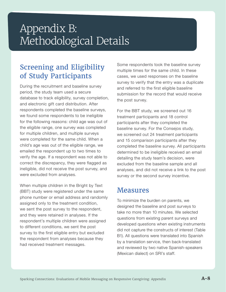## Appendix B: Methodological Details

## Screening and Eligibility of Study Participants

During the recruitment and baseline survey period, the study team used a secure database to track eligibility, survey completion, and electronic gift card distribution. After respondents completed the baseline surveys, we found some respondents to be ineligible for the following reasons: child age was out of the eligible range, one survey was completed for multiple children, and multiple surveys were completed for the same child. When a child's age was out of the eligible range, we emailed the respondent up to two times to verify the age. If a respondent was not able to correct the discrepancy, they were flagged as ineligible, did not receive the post survey, and were excluded from analyses.

When multiple children in the Bright by Text (BBT) study were registered under the same phone number or email address and randomly assigned only to the treatment condition, we sent the post survey to the respondent, and they were retained in analyses. If the respondent's multiple children were assigned to different conditions, we sent the post survey to the first eligible entry but excluded the respondent from analyses because they had received treatment messages.

Some respondents took the baseline survey multiple times for the same child. In these cases, we used responses on the baseline survey to verify that the entry was a duplicate and referred to the first eligible baseline submission for the record that would receive the post survey.

For the BBT study, we screened out 16 treatment participants and 18 control participants after they completed the baseline survey. For the Consejos study, we screened out 24 treatment participants and 15 comparison participants after they completed the baseline survey. All participants determined to be ineligible received an email detailing the study team's decision, were excluded from the baseline sample and all analyses, and did not receive a link to the post survey or the second survey incentive.

### Measures

To minimize the burden on parents, we designed the baseline and post surveys to take no more than 10 minutes. We selected questions from existing parent surveys and developed questions when existing instruments did not capture the constructs of interest (Table B1). All questions were translated into Spanish by a translation service, then back-translated and reviewed by two native Spanish-speakers (Mexican dialect) on SRI's staff.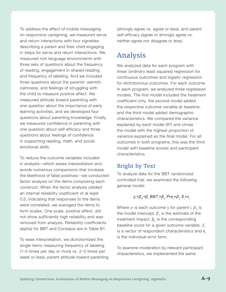To address the effect of mobile messaging on responsive caregiving, we measured serve and return interactions with four vignettes describing a parent and their child engaging in steps for serve and return interactions. We measured rich language environments with three sets of questions about the frequency of reading, engagement in shared reading, and frequency of labeling. And we included three questions about the parents' warmth, calmness, and feelings of struggling with the child to measure positive affect. We measured attitude toward parenting with one question about the importance of early learning activities, and we developed four questions about parenting knowledge. Finally, we measured confidence in parenting with one question about self-efficacy and three questions about feelings of confidence in supporting reading, math, and socialemotional skills.

To reduce the outcome variables included in analysis—which eases interpretation and avoids numerous comparisons that increase the likelihood of false positives—we conducted factor analysis on the items composing each construct. When the factor analysis yielded an internal reliability coefficient of at least 0.5, indicating that responses to the items were correlated, we averaged the items to form scales. One scale, positive affect, did not show sufficiently high reliability and was removed from analysis. Reliability coefficients (alpha) for BBT and Consejos are in Table B1.

To ease interpretation, we dichotomized the single items measuring frequency of labeling (1–5 times per day or more vs. 2–5 times per week or less), parent attitude toward parenting (strongly agree vs. agree or less), and parent self-efficacy (agree or strongly agree vs. neither agree nor disagree or less).

## Analysis

We analyzed data for each program with linear (ordinary least squares) regression for continuous outcomes and logistic regression for dichotomous outcomes. For each outcome in each program, we analyzed three regression models. The first model included the treatment coefficient only, the second model added the respective outcome variable at baseline, and the third model added demographic characteristics. We compared the variance explained by each model (*R2*) and chose the model with the highest proportion of variance explained as the final model. For all outcomes in both programs, this was the third model with baseline scores and participant characteristics.

#### Bright by Text

To analyze data for the BBT randomized controlled trial, we examined the following general model:

#### *yi =β0+β<sup>i</sup> BBTi +β2 Prei +β2 δ<sup>i</sup> +ϵ<sup>i</sup>*

Where  $y^{\text{!`}}$  is each outcome y for parent *i*,  $\beta_{\text{o}}$  is the model intercept,  $\beta$ <sup>1</sup> is the estimate of the treatment impact,  $β<sub>2</sub>$  is the corresponding baseline score for a given outcome variable, *δ<sup>i</sup>* is a vector of respondent characteristics and *ϵ<sup>i</sup>* is the individual error term.

To examine moderation by relevant participant characteristics, we implemented the same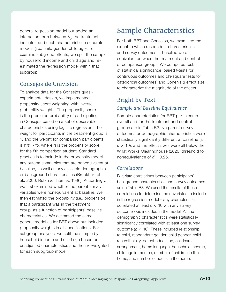general regression model but added an interaction term between  $\beta_{2}$ , the treatment indicator, and each characteristic in separate models (i.e., child gender, child age). To examine subgroup effects, we split the sample by household income and child age and reestimated the regression model within that subgroup.

#### Consejos de Univision

To analyze data for the Consejos quasiexperimental design, we implemented propensity score weighting with inverse probability weights. The propensity score is the predicted probability of participating in Consejos based on a set of observable characteristics using logistic regression. The weight for participants in the treatment group is 1, and the weight for comparison participants is  $π/(1 - π)$ , where π is the propensity score for the *i*'th comparison student. Standard practice is to include in the propensity model any outcome variables that are nonequivalent at baseline, as well as any available demographic or background characteristics (Brookhart et al., 2006; Rubin & Thomas, 1996). Accordingly, we first examined whether the parent survey variables were nonequivalent at baseline. We then estimated the probability (i.e., propensity) that a participant was in the treatment group, as a function of participants' baseline characteristics. We estimated the same general model as for BBT above but included propensity weights in all specifications. For subgroup analyses, we split the sample by household income and child age based on unadjusted characteristics and then re-weighted for each subgroup model.

## Sample Characteristics

For both BBT and Consejos, we examined the extent to which respondent characteristics and survey outcomes at baseline were equivalent between the treatment and control or comparison groups. We computed tests of statistical significance (paired t-tests for continuous outcomes and chi-square tests for categorical outcomes) and Cohen's *d* effect size to characterize the magnitude of the effects.

#### Bright by Text *Sample and Baseline Equivalence*

Sample characteristics for BBT participants overall and for the treatment and control groups are in Table B2. No parent survey outcomes or demographic characteristics were statistically significantly different at baseline (all  $p > 0.10$ , and the effect sizes were all below the What Works Clearinghouse (2020) threshold for nonequivalence of  $d = 0.25$ .

#### *Correlations*

Bivariate correlations between participants' background characteristics and survey outcomes are in Table B3. We used the results of these correlations to determine the covariates to include in the regression model – any characteristic correlated at least *p* < .10 with any survey outcome was included in the model. All the demographic characteristics were statistically significantly correlated with at least one survey outcome ( $p <$  .10). These included relationship to child, respondent gender, child gender, child race/ethnicity, parent education, childcare arrangement, home language, household income, child age in months, number of children in the home, and number of adults in the home.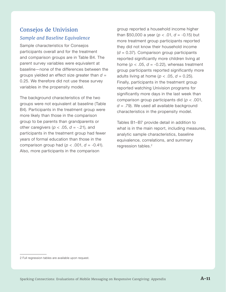#### Consejos de Univision *Sample and Baseline Equivalence*

Sample characteristics for Consejos participants overall and for the treatment and comparison groups are in Table B4. The parent survey variables were equivalent at baseline—none of the differences between the groups yielded an effect size greater than *d* = 0.25. We therefore did not use these survey variables in the propensity model.

The background characteristics of the two groups were not equivalent at baseline (Table B4). Participants in the treatment group were more likely than those in the comparison group to be parents than grandparents or other caregivers ( $p < .05$ ,  $d = -.21$ ), and participants in the treatment group had fewer years of formal education than those in the comparison group had ( $p < .001$ ,  $d = -0.41$ ). Also, more participants in the comparison

group reported a household income higher than \$50,000 a year (*p* < .01, *d* = -0.15) but more treatment group participants reported they did not know their household income (*d* = 0.37). Comparison group participants reported significantly more children living at home ( $p < .05$ ,  $d = -0.22$ ), whereas treatment group participants reported significantly more adults living at home ( $p < .05$ ,  $d = 0.25$ ). Finally, participants in the treatment group reported watching Univision programs for significantly more days in the last week than comparison group participants did (*p* < .001, *d* = .79). We used all available background characteristics in the propensity model.

Tables B1–B7 provide detail in addition to what is in the main report, including measures, analytic sample characteristics, baseline equivalence, correlations, and summary regression tables.<sup>2</sup>

<sup>2</sup> Full regression tables are available upon request.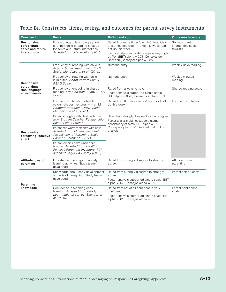#### Table B1. Constructs, items, rating, and outcomes for parent survey instruments

| <b>Construct</b>                                              | <b>Items</b>                                                                                                                                        | <b>Rating and scoring</b>                                                                                                                                                                                                                             | <b>Outcomes in model</b>                          |
|---------------------------------------------------------------|-----------------------------------------------------------------------------------------------------------------------------------------------------|-------------------------------------------------------------------------------------------------------------------------------------------------------------------------------------------------------------------------------------------------------|---------------------------------------------------|
| Responsive<br>caregiving:<br>serve and return<br>interactions | Four vignettes describing a parent<br>and their child engaging in steps<br>for serve and return interactions.<br>Adapted from Fisher et al. (2016). | Rated 6 or more times/day, 1–5 times/day,<br>2–5 times this week, 1 time this week, did<br>not do this week.<br>Factor analysis supported single scale; Bright<br>by Text (BBT) alpha = $0.78$ , Consejos de<br>Univision (Consejos) alpha = $0.85$ . | Serve and return<br>interactions scale<br>(SARIS) |
|                                                               | Frequency of reading with child in<br>days. Adapted from StimQ READ<br>Scale, Mendelsohn et al. (2011).                                             | Numeric entry.                                                                                                                                                                                                                                        | Weekly days reading                               |
| Responsive                                                    | Frequency of reading with child<br>in minutes. Adapted from StimQ<br>READ Scale.                                                                    | Numeric entry.                                                                                                                                                                                                                                        | Weekly minutes<br>reading                         |
| caregiving:<br>rich language                                  | Frequency of engaging in shared                                                                                                                     | Rated from always to never.                                                                                                                                                                                                                           | Shared reading scale                              |
| environments                                                  | reading. Adapted from StimQ READ<br>Scale.                                                                                                          | Factor analysis supported single scale;<br>BBT alpha = $0.70$ , Consejos alpha = $0.74$ .                                                                                                                                                             |                                                   |
|                                                               | Frequency of labeling objects,<br>colors, shapes, textures with child.<br>Adapted from StimQ PIDA Scale,<br>Mendelsohn et al. (2011).               | Rated from 6 or more times/day to did not<br>do this week.                                                                                                                                                                                            | Frequency of labeling                             |
|                                                               | Parent struggles with child. Adapted<br>from Student Teacher Relationship<br>Scale, Pianta (1996).                                                  | Rated from strongly disagree to strongly agree.<br>Factor analysis did not support internal<br>consistency of items; BBT alpha = $.51$ ,                                                                                                              |                                                   |
| Responsive<br>caregiving: positive<br>affect                  | Parent has warm moments with child.<br>Adapted from Multidimensional<br>Assessment of Parenting Scale,<br>Parent & Forehand (2017).                 | Consejos alpha = .36. Decided to drop from<br>analysis.                                                                                                                                                                                               |                                                   |
|                                                               | Parent remains calm when child<br>is upset. Adapted from Healthy<br>Families Parenting Inventory, PCI<br>subscale; Krysik & Lecroy (2012).          |                                                                                                                                                                                                                                                       |                                                   |
| <b>Attitude toward</b><br>parenting                           | Importance of engaging in early<br>learning activities. Study team-<br>developed.                                                                   | Rated from strongly disagree to strongly<br>agree.                                                                                                                                                                                                    | Attitude toward<br>parenting                      |
|                                                               | Knowledge about early development<br>and role of caregiving. Study team-                                                                            | Rated from strongly disagree to strongly<br>agree.                                                                                                                                                                                                    | Parent self-efficacy                              |
| <b>Parenting</b>                                              | developed.                                                                                                                                          | Factor analysis supported single scale; BBT<br>alpha = $.67$ , Consejos alpha = $.89$ .                                                                                                                                                               |                                                   |
| knowledge                                                     | Confidence in teaching early<br>learning. Adapted from Ready to                                                                                     | Rated from not at all confident to very<br>confident.                                                                                                                                                                                                 | Parent confidence<br>scale                        |
|                                                               | Learn national survey, Silander et<br>al. (2018).                                                                                                   | Factor analysis supported single scale; BBT<br>$alpha = .81$ , Consejos alpha = $.82$ .                                                                                                                                                               |                                                   |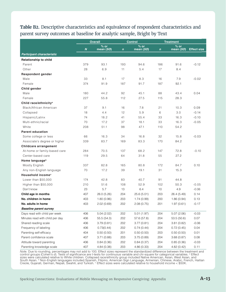**Table B2**. Descriptive characteristics and equivalence of respondent characteristics and parent survey outcomes at baseline for analytic sample, Bright by Text

|                                   |                  | <b>Overall</b>      |             | <b>Control</b>      |             | <b>Treatment</b>    |                    |
|-----------------------------------|------------------|---------------------|-------------|---------------------|-------------|---------------------|--------------------|
|                                   | $\boldsymbol{N}$ | $%$ or<br>mean (SD) | $\mathbf n$ | $%$ or<br>mean (SD) | $\mathbf n$ | $%$ or<br>mean (SD) | <b>Effect size</b> |
| Participant characteristic        |                  |                     |             |                     |             |                     |                    |
| <b>Relationship to child</b>      |                  |                     |             |                     |             |                     |                    |
| Parent                            | 379              | 93.1                | 193         | 94.6                | 186         | 91.6                | $-0.12$            |
| Other                             | 28               | 6.9                 | 11          | 5.4                 | 17          | 8.4                 |                    |
| <b>Respondent gender</b>          |                  |                     |             |                     |             |                     |                    |
| Male                              | 33               | 8.1                 | 17          | 8.3                 | 16          | 7.9                 | $-0.02$            |
| Female                            | 374              | 91.9                | 187         | 91.7                | 187         | 92.1                |                    |
| Child gender                      |                  |                     |             |                     |             |                     |                    |
| Male                              | 180              | 44.2                | 92          | 45.1                | 88          | 43.4                | 0.04               |
| Female                            | 227              | 55.8                | 112         | 27.5                | 115         | 28.3                |                    |
| Child race/ethnicity <sup>a</sup> |                  |                     |             |                     |             |                     |                    |
| Black/African American            | 37               | 9.1                 | 16          | 7.8                 | 21          | 10.3                | 0.09               |
| Collapsed                         | 18               | 4.4                 | 12          | 5.9                 | 6           | 3.0                 | $-0.14$            |
| Hispanic/Latinx                   | 74               | 18.2                | 41          | 55.4                | 33          | 16.3                | $-0.10$            |
| Multi-ethnic/racial               | 70               | 17.2                | 37          | 18.1                | 33          | 16.3                | $-0.05$            |
| White                             | 208              | 51.1                | 98          | 47.1                | 110         | 54.2                |                    |
| <b>Parent education</b>           |                  |                     |             |                     |             |                     |                    |
| Some college or less              | 66               | 16.3                | 34          | 16.8                | 32          | 15.8                | $-0.03$            |
| Associate's degree or higher      | 339              | 83.7                | 169         | 83.3                | 170         | 84.2                |                    |
| Childcare arrangement             |                  |                     |             |                     |             |                     |                    |
| At-home or family-based care      | 284              | 70.5                | 137         | 68.2                | 147         | 72.8                | $-0.10$            |
| Center-based care                 | 119              | 29.5                | 64          | 31.8                | 55          | 27.2                |                    |
| Home language <sup>b</sup>        |                  |                     |             |                     |             |                     |                    |
| Mostly English                    | 337              | 82.8                | 165         | 80.8                | 172         | 84.7                | 0.10               |
| Any non-English language          | 70               | 17.2                | 39          | 19.1                | 31          | 15.3                |                    |
| Household income <sup>c</sup>     |                  |                     |             |                     |             |                     |                    |
| Lower than \$50,000               | 174              | 42.8                | 83          | 40.7                | 91          | 44.8                |                    |
| Higher than \$50,000              | 210              | 51.6                | 108         | 52.9                | 102         | 50.3                | $-0.05$            |
| Don't know                        | 23               | 5.7                 | 13          | 6.4                 | 10          | 4.9                 | $-0.06$            |
| Child age in months               | 407              | 26.0 (5.26)         | 204         | 25.6(5.01)          | 203         | 26.4 (5.49)         | 0.14               |
| No. children in home              | 403              | 1.80(0.96)          | 203         | 1.74(0.99)          | 200         | 1.86(0.94)          | 0.13               |
| No. adults in home                | 403              | 2.02 (0.69)         | 202         | 2.08(0.75)          | 201         | 1.97(0.61)          | $-0.17$            |
| <b>Baseline parent survey</b>     |                  |                     |             |                     |             |                     |                    |
| Days read with child per week     | 406              | 5.04(2.02)          | 202         | 5.01(1.97)          | 204         | 5.07(2.06)          | $-0.03$            |
| Minutes read with child per day   | 406              | 55.5 (54.3)         | 202         | 57.6 (57.8)         | 204         | 53.5(50.6)          | 0.07               |
| Shared reading scale              | 406              | 3.79(0.81)          | 202         | 3.77(0.81)          | 204         | 3.81(0.82)          | $-0.06$            |
| Frequency of labeling             | 406              | 0.73(0.44)          | 202         | 0.74(0.44)          | 204         | 0.72(0.45)          | 0.04               |
| Parenting self-efficacy           | 404              | 0.50(0.50)          | 201         | 0.50(0.50)          | 203         | 0.50(0.50)          | 0.01               |
| Parent confidence scale           | 407              | 3.71(0.88)          | 203         | 3.75(0.89)          | 204         | 3.68(0.87)          | 0.08               |
| Attitude toward parenting         | 406              | 0.84(0.36)          | 202         | 0.84(0.37)          | 204         | 0.85(0.36)          | $-0.03$            |
| Parenting knowledge scale         | 407              | 4.84 (0.38)         | 203         | 4.86 (0.33)         | 204         | 4.82(0.42)          | 0.11               |

*Note.* Due to rounding, percentages may not add to 100. Effect sizes represent the standardized difference between the treatment and<br>control groups (Cohen's *d*). Tests of significance are t-tests for continuous variable sizes were calculated relative to White children. Collapsed race/ethnicity group included Native American, Asian, West Asian, and<br>South Asian. <sup>b</sup> Non-English languages included Spanish, Filipino, American Sign Language, A Creole, Gujarati, German, Nepali, Swahili, and Turkish.  $\circ$  Effect sizes were calculated relative to household income < \$50K.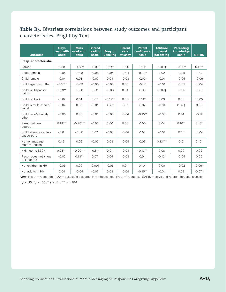#### **Table B3.** Bivariate correlations between study outcomes and participant characteristics, Bright by Text

| <b>Outcome</b>                      | <b>Days</b><br>read with<br>child | <b>Mins</b><br>read with<br>child | <b>Shared</b><br>reading<br>scale | Freq. of<br><b>Labeling</b> | <b>Parent</b><br>self-<br>efficacy | <b>Parent</b><br>confidence<br>scale | <b>Attitude</b><br>toward<br>parenting | <b>Parenting</b><br>knowledge<br>scale | <b>SARIS</b> |
|-------------------------------------|-----------------------------------|-----------------------------------|-----------------------------------|-----------------------------|------------------------------------|--------------------------------------|----------------------------------------|----------------------------------------|--------------|
| Resp. characteristic                |                                   |                                   |                                   |                             |                                    |                                      |                                        |                                        |              |
| Parent                              | 0.08                              | $-0.08$ †                         | $-0.09$                           | 0.02                        | $-0.06$                            | $-0.11*$                             | $-0.09+$                               | $-0.09+$                               | $0.11***$    |
| Resp. female                        | $-0.05$                           | $-0.08$                           | $-0.08$                           | $-0.04$                     | $-0.04$                            | $-0.09+$                             | 0.02                                   | $-0.05$                                | $-0.07$      |
| Child female                        | $-0.04$                           | 0.01                              | $-0.07$                           | 0.04                        | $-0.03$                            | $-0.10+$                             | $-0.01$                                | $-0.05$                                | $-0.06$      |
| Child age in months                 | $-0.16**$                         | $-0.03$                           | $-0.06$                           | $-0.03$                     | 0.05                               | $-0.00$                              | $-0.01$                                | $-0.05$                                | $-0.04$      |
| Child is Hispanic/<br>Latinx        | $-0.23***$                        | $-0.00$                           | 0.03                              | $-0.06$                     | 0.04                               | 0.00                                 | $-0.09+$                               | $-0.05$                                | $-0.07$      |
| Child is Black                      | $-0.07$                           | 0.01                              | 0.05                              | $-0.12**$                   | 0.06                               | $0.14***$                            | 0.03                                   | 0.00                                   | $-0.05$      |
| Child is multi-ethnic/<br>racial    | $-0.04$                           | 0.03                              | $-0.01$                           | $0.08 +$                    | $-0.01$                            | 0.07                                 | $-0.04$                                | $0.09+$                                | 0.02         |
| Child race/ethnicity<br>other       | $-0.05$                           | 0.00                              | $-0.01$                           | $-0.03$                     | $-0.04$                            | $-0.15**$                            | $-0.08$                                | 0.01                                   | $-0.12$      |
| Parent ed. AA<br>$degree+$          | $0.19***$                         | $-0.20***$                        | $-0.05$                           | 0.06                        | 0.03                               | 0.00                                 | 0.04                                   | $0.10**$                               | $0.10*$      |
| Child attends center-<br>based care | $-0.01$                           | $-0.12*$                          | 0.02                              | $-0.04$                     | $-0.04$                            | 0.03                                 | $-0.01$                                | 0.06                                   | $-0.04$      |
| Home language<br>mostly English     | $0.19*$                           | 0.02                              | $-0.05$                           | 0.03                        | $-0.04$                            | 0.03                                 | $0.13***$                              | $-0.01$                                | $0.10*$      |
| HH income \$50K+                    | $0.21***$                         | $-0.20***$                        | $-0.11*$                          | 0.01                        | $-0.04$                            | $-0.13**$                            | 0.08                                   | 0.00                                   | 0.02         |
| Resp. does not know<br>HH income    | $-0.02$                           | $0.13**$                          | 0.07                              | 0.05                        | $-0.03$                            | 0.04                                 | $-0.12*$                               | $-0.05$                                | 0.00         |
| No. children in HH                  | $-0.06$                           | 0.00                              | $-0.09+$                          | $-0.06$                     | 0.04                               | $0.10*$                              | 0.00                                   | $-0.02$                                | $-0.09+$     |
| No. adults in HH                    | 0.04                              | $-0.05$                           | $-0.07$                           | 0.03                        | $-0.04$                            | $-0.15**$                            | $-0.04$                                | 0.03                                   | $-0.071$     |

*Note*. Resp. = respondent; AA = associate's degree; HH = household; Freq. = frequency; SARIS = serve and return interactions scale.

 $\uparrow p < .10.$   $^{\star}p < .05.$   $^{**}p < .01.$   $^{***}p < .001.$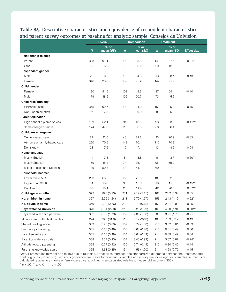**Table B4.** Descriptive characteristics and equivalence of respondent characteristics and parent survey outcomes at baseline for analytic sample, Consejos de Univision

|                                    |                  | <b>Overall</b>      |              | <b>Comparison</b>   |             | <b>Treatment</b>              |                    |
|------------------------------------|------------------|---------------------|--------------|---------------------|-------------|-------------------------------|--------------------|
|                                    | $\boldsymbol{N}$ | $%$ or<br>mean (SD) | $\mathbf{n}$ | $%$ or<br>mean (SD) | $\mathbf n$ | $\frac{9}{6}$ or<br>mean (SD) | <b>Effect size</b> |
| Relationship to child              |                  |                     |              |                     |             |                               |                    |
| Parent                             | 338              | 91.1                | 198          | 93.8                | 140         | 87.5                          | $-0.21*$           |
| Other                              | 33               | 8.9                 | 13           | 6.2                 | 20          | 12.5                          |                    |
| <b>Respondent gender</b>           |                  |                     |              |                     |             |                               |                    |
| Male                               | 23               | 6.2                 | 10           | 4.8                 | 13          | 8.1                           | 0.13               |
| Female                             | 346              | 93.8                | 199          | 95.2                | 147         | 91.9                          |                    |
| Child gender                       |                  |                     |              |                     |             |                               |                    |
| Female                             | 190              | 51.5                | 103          | 49.3                | 87          | 54.4                          | $-0.10$            |
| Male                               | 179              | 48.5                | 106          | 50.7                | 73          | 45.6                          |                    |
| Child race/ethnicity               |                  |                     |              |                     |             |                               |                    |
| Hispanic/Latinx                    | 345              | 92.7                | 192          | 91.0                | 153         | 95.0                          | 0.15               |
| Not Hispanic/Latinx                | 27               | 7.3                 | 19           | 9.0                 | 8           | 5.0                           |                    |
| <b>Parent education</b>            |                  |                     |              |                     |             |                               |                    |
| High school diploma or less        | 189              | 52.1                | 91           | 43.5                | 98          | 63.6                          | $-0.41***$         |
| Some college or more               | 174              | 47.9                | 118          | 56.5                | 56          | 36.4                          |                    |
| Childcare arrangement <sup>a</sup> |                  |                     |              |                     |             |                               |                    |
| Center-based care                  | 81               | 22.0                | 48           | 22.8                | 33          | 20.9                          | $-0.05$            |
| At-home or family-based care       | 260              | 70.5                | 148          | 70.1                | 112         | 70.9                          |                    |
| Don't know                         | 28               | 7.6                 | 15           | 7.1                 | 13          | 8.2                           | 0.04               |
| Home language                      |                  |                     |              |                     |             |                               |                    |
| Mostly English                     | 14               | 3.8                 | 8            | 3.8                 | 6           | 3.7                           | $0.50***$          |
| Mostly Spanish                     | 169              | 45.4                | 74           | 35.1                | 95          | 59.0                          |                    |
| Mix of English and Spanish         | 189              | 50.8                | 129          | 61.1                | 60          | 37.3                          |                    |
| Household income <sup>b</sup>      |                  |                     |              |                     |             |                               |                    |
| Lower than \$50K                   | 253              | 68.2                | 153          | 72.5                | 100         | 62.5                          |                    |
| Higher than \$50K                  | 51               | 13.8                | 33           | 15.6                | 18          | 11.3                          | $-0.15***$         |
| Don't know                         | 67               | 18.1                | 25           | 11.9                | 42          | 26.3                          | $0.37***$          |
| Child age in months                | 372              | 26.0 (5.23)         | 211          | 25.9(5.15)          | 161         | 26.2 (5.34)                   | 0.05               |
| No. children in home               | 367              | 2.59(1.24)          | 211          | 2.70(1.27)          | 156         | 2.43(1.19)                    | $-0.22*$           |
| No. adults in home                 | 369              | 2.19(0.86)          | 210          | 2.10(0.72)          | 159         | 2.31(0.99)                    | $0.25*$            |
| Days watched Univision             | 370              | 3.94(2.30)          | 210          | 3.20(2.29)          | 160         | 4.90(1.94)                    | $0.80***$          |
| Days read with child per week      | 362              | 3.05(1.73)          | 159          | 2.85(1.68)          | 203         | 3.21(1.75)                    | $-0.21$            |
| Minutes read with child per day    | 224              | 78.7 (81.8)         | 116          | 83.7 (92.0)         | 108         | 73.3 (69.2)                   | 0.13               |
| Shared reading scale               | 369              | 3.78(0.89)          | 159          | 3.74(1.00)          | 210         | 3.82(0.81)                    | $-0.09$            |
| Frequency of labeling              | 365              | 0.63(0.48)          | 155          | 0.65(0.48)          | 210         | 0.61(0.49)                    | 0.06               |
| Parent self-efficacy               | 365              | 0.60(0.49)          | 154          | 0.61(0.49)          | 211         | 0.59(0.49)                    | 0.04               |
| Parent confidence scale            | 368              | 3.57(0.93)          | 157          | 3.45(0.99)          | 211         | 3.67(0.87)                    | $-0.24*$           |
| Attitude toward parenting          | 365              | 0.77(0.42)          | 155          | 0.74(0.44)          | 210         | 0.80(0.40)                    | $-0.14$            |
| Parenting knowledge scale          | 365              | 4.63(0.85)          | 154          | 4.56 (1.00)         | 211         | 4.68 (0.72)                   | $-0.15$            |

*Note.* Percentages may not add to 100 due to rounding. Effect sizes represent the standardized difference between the treatment and control groups (Cohen's d). Tests of significance are t-tests for continuous variable and chi-square for categorical variables. a Effect size calculated relative to at-home or family-based care. b Effect size calculated relative to household income < \$50K.  $* p < .05$ . \*\*  $p < .01$ . \*\*\*  $p < .001$ .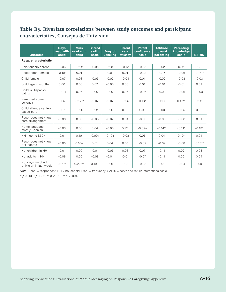#### **Table B5. Bivariate correlations between study outcomes and participant characteristics, Consejos de Univision**

| <b>Outcome</b>                             | <b>Days</b><br>read with<br>child | <b>Mins</b><br>read with<br>child | <b>Shared</b><br>reading<br>scale | Freq. of<br><b>Labeling</b> | <b>Parent</b><br>self-<br>efficacy | <b>Parent</b><br>confidence<br>scale | <b>Attitude</b><br>toward<br>parenting | <b>Parenting</b><br>knowledge<br>scale | <b>SARIS</b> |
|--------------------------------------------|-----------------------------------|-----------------------------------|-----------------------------------|-----------------------------|------------------------------------|--------------------------------------|----------------------------------------|----------------------------------------|--------------|
| Resp. characteristic                       |                                   |                                   |                                   |                             |                                    |                                      |                                        |                                        |              |
| Relationship parent                        | $-0.06$                           | $-0.02$                           | $-0.05$                           | 0.03                        | $-0.12$                            | $-0.05$                              | 0.02                                   | 0.07                                   | $0.123*$     |
| Respondent female                          | $-0.10*$                          | 0.01                              | $-0.10$                           | $-0.01$                     | 0.01                               | $-0.02$                              | $-0.16$                                | $-0.06$                                | $-0.14**$    |
| Child female                               | $-0.07$                           | 0.03                              | $-0.05$                           | $-0.02$                     | $-0.04$                            | 0.01                                 | $-0.02$                                | $-0.03$                                | $-0.03$      |
| Child age in months                        | 0.06                              | 0.03                              | 0.07                              | $-0.03$                     | 0.06                               | 0.01                                 | $-0.01$                                | $-0.01$                                | 0.01         |
| Child is Hispanic/<br>Latinx               | $-0.10+$                          | 0.06                              | 0.00                              | 0.00                        | 0.06                               | $-0.06$                              | $-0.03$                                | $-0.06$                                | $-0.03$      |
| Parent ed some<br>college+                 | 0.05                              | $-0.17**$                         | $-0.07$                           | $-0.07$                     | $-0.05$                            | $0.13*$                              | 0.13                                   | $0.17***$                              | $0.11*$      |
| Child attends center-<br>based care        | 0.07                              | $-0.06$                           | 0.02                              | 0.06                        | 0.00                               | 0.08                                 | 0.00                                   | $-0.05$                                | 0.02         |
| Resp. does not know<br>care arrangement    | $-0.06$                           | 0.08                              | $-0.08$                           | $-0.02$                     | 0.04                               | $-0.03$                              | $-0.08$                                | $-0.06$                                | 0.01         |
| Home language<br>mostly Spanish            | $-0.03$                           | 0.08                              | 0.04                              | $-0.03$                     | $0.11*$                            | $-0.09+$                             | $-0.14**$                              | $-0.11*$                               | $-0.13*$     |
| HH income \$50K+                           | $-0.01$                           | $-0.10+$                          | $-0.09+$                          | $-0.10+$                    | $-0.08$                            | 0.06                                 | 0.04                                   | $0.10*$                                | 0.01         |
| Resp. does not know<br>HH income           | $-0.05$                           | $0.10+$                           | 0.01                              | 0.04                        | 0.05                               | $-0.09$                              | $-0.09$                                | $-0.08$                                | $-0.15**$    |
| No. children in HH                         | $-0.01$                           | 0.09                              | $-0.01$                           | $-0.05$                     | 0.08                               | 0.07                                 | $-0.11$                                | 0.02                                   | 0.03         |
| No. adults in HH                           | $-0.08$                           | 0.00                              | $-0.08$                           | $-0.01$                     | $-0.01$                            | $-0.07$                              | $-0.11$                                | 0.00                                   | 0.04         |
| No. days watched<br>Univision in last week | $0.15***$                         | $0.22***$                         | $0.10+$                           | 0.06                        | $0.12*$                            | $-0.08$                              | 0.01                                   | $-0.04$                                | $-0.09+$     |

*Note.* Resp. = respondent; HH = household; Freq. = frequency; SARIS = serve and return interactions scale.

 $\uparrow p$  < .10.  $\uparrow p$  < .05. \*\* *p* < .01. \*\*\* *p* < .001.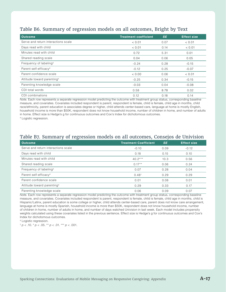#### Table B6. Summary of regression models on all outcomes, Bright by Text

| <b>Outcome</b>                         | <b>Treatment coefficient</b> | <b>SE</b> | <b>Effect size</b> |
|----------------------------------------|------------------------------|-----------|--------------------|
| Serve and return interactions scale    | < 0.01                       | 0.07      | < 0.01             |
| Days read with child                   | < 0.01                       | 0.14      | < 0.01             |
| Minutes read with child                | 0.72                         | 5.31      | 0.01               |
| Shared reading scale                   | 0.04                         | 0.06      | 0.05               |
| Frequency of labeling <sup>a</sup>     | $-0.24$                      | 0.28      | $-0.15$            |
| Parent self-efficacy <sup>a</sup>      | $-0.12$                      | 0.25      | $-0.07$            |
| Parent confidence scale                | < 0.00                       | 0.06      | < 0.01             |
| Attitude toward parenting <sup>a</sup> | $-0.25$                      | 0.34      | $-0.15$            |
| Parenting knowledge scale              | $-0.03$                      | 0.04      | $-0.08$            |
| CDI total words                        | 0.58                         | 8.78      | 0.02               |
| CDI combinations                       | 0.12                         | 0.18      | 0.14               |

*Note.* Each row represents a separate regression model predicting the outcome with treatment group status, corresponding baseline measure, and covariates. Covariates included respondent is parent, respondent is female, child is female, child age in months, child race/ethnicity, parent education is associates degree or higher, child attends center-based care, language at home is mostly English, household income is more than \$50K, respondent does not know household income, number of children in home, and number of adults in home. Effect size is Hedge's g for continuous outcomes and Cox's Index for dichotomous outcomes.

a Logistic regression.

#### Table B7. Summary of regression models on all outcomes, Consejos de Univision

| <b>Outcome</b>                         | <b>Treatment Coefficient</b> | <b>SE</b> | <b>Effect size</b> |
|----------------------------------------|------------------------------|-----------|--------------------|
| Serve and return interactions scale    | $-0.10$                      | 0.09      | $-0.12$            |
| Days read with child                   | 0.18                         | 0.15      | 0.10               |
| Minutes read with child                | $40.2***$                    | 10.3      | 0.56               |
| Shared reading scale                   | $0.17***$                    | 0.06      | 0.24               |
| Frequency of labeling <sup>a</sup>     | 0.07                         | 0.28      | 0.04               |
| Parent self-efficacy <sup>a</sup>      | 0.48 <sup>†</sup>            | 0.29      | 0.29               |
| Parent confidence scale                | 0.01                         | 0.08      | 0.01               |
| Attitude toward parenting <sup>a</sup> | 0.29                         | 0.33      | 0.17               |
| Parenting knowledge scale              | 0.06                         | 0.09      | 0.07               |

*Note.* Each row represents a separate regression model predicting the outcome with treatment group status, corresponding baseline measure, and covariates. Covariates included respondent is parent, respondent is female, child is female, child age in months, child is Hispanic/Latinx, parent education is some college or higher, child attends center-based care, parent does not know care arrangement, language at home is mostly Spanish, household income is more than \$50K, respondent does not know household income, number of children in home, number of adults in home, and number of days watched Univision in last week. Each model includes propensity weights calculated using these covariates listed in the previous sentence. Effect size is Hedge's g for continuous outcomes and Cox's Index for dichotomous outcomes.

a Logistic regression.

 $\frac{1}{p}$   $p$  < .10.  $\frac{*}{p}$   $p$  < .05.  $\frac{**}{p}$   $p$  < .001.  $\frac{***}{p}$   $p$  < .001.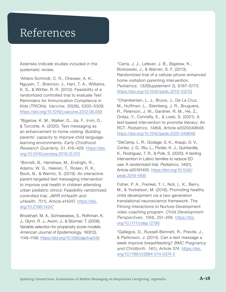## References

Asterisks indicate studies included in the systematic review.

\*Ahlers-Schmidt, C. R., Chesser, A. K., Nguyen, T., Brannon, J., Hart, T. A., Williams, K. S., & Wittler, R. R. (2012). Feasibility of a randomized controlled trial to evaluate Text Reminders for Immunization Compliance in Kids (TRICKs). *Vaccine, 30*(36), 5305–5309. <https://doi.org/10.1016/j.vaccine.2012.06.058>

\*Bigelow, K. M., Walker, D., Jia, F., Irvin, D., & Turcotte, A. (2020). Text messaging as an enhancement to home visiting: Building parents' capacity to improve child languagelearning environments. *Early Childhood Research Quarterly, 51*, 416–429. [https://doi.](https://doi.org/10.1016/j.ecresq.2019.12.010) [org/10.1016/j.ecresq.2019.12.010](https://doi.org/10.1016/j.ecresq.2019.12.010)

\*Borrelli, B., Henshaw, M., Endrighi, R., Adams, W. G., Heeren, T., Rosen, R. K., Bock, B., & Werntz, S. (2019). An interactive parent-targeted text messaging intervention to improve oral health in children attending urban pediatric clinics: Feasibility randomized controlled trial. *JMIR mHealth and uHealth, 7*(11), Article e14247. [https://doi.](https://doi.org/10.2196/14247) [org/10.2196/14247](https://doi.org/10.2196/14247)

Brookhart, M. A., Schneeweiss, S., Rothman, K. J., Glynn, R. J., Avorn, J., & Stürmer, T. (2006). Variable selection for propensity score models. *American Journal of Epidemiology, 163*(12), 1149–1156. <https://doi.org/10.1093/aje/kwj149>

\*Carta, J. J., Lefever, J. B., Bigelow, K., Borkowski, J., & Warren, S. F. (2013). Randomized trial of a cellular phone-enhanced home visitation parenting intervention. *Pediatrics, 132*(Supplement 2), S167–S173. <https://doi.org/10.1542/peds.2013-1021Q>

\*Chamberlain, L. J., Bruce, J., De La Cruz, M., Huffman, L., Steinberg, J. R., Bruguera, R., Peterson, J. W., Gardner, R. M., He, Z., Ordaz, Y., Connelly, E., & Loeb, S. (2021). A text-based intervention to promote literacy: An RCT. *Pediatrics, 148*(4), Article e2020049648. <https://doi.org/10.1542/peds.2020-049648>

\*DeCamp, L. R., Godage, S. K., Araujo, D. V., Cortez, J. D., Wu, L., Psoter, K. J., Quintanilla, K., Rodríguez, T. R., & Polk, S. (2020). A texting intervention in Latino families to reduce ED use: A randomized trial. *Pediatrics, 145*(1), Article e20191405. [https://doi.org/10.1542/](https://doi.org/10.1542/peds.2019-1405) [peds.2019-1405](https://doi.org/10.1542/peds.2019-1405)

Fisher, P. A., Frenkel, T. I., Noll, L. K., Berry, M., & Yockelson, M. (2016). Promoting healthy child development via a two-generation translational neuroscience framework: The Filming Interactions to Nurture Development video coaching program. *Child Development Perspectives, 10*(4), 251–256. [https://doi.](https://doi.org/10.1111/cdep.12195) [org/10.1111/cdep.12195](https://doi.org/10.1111/cdep.12195)

\*Gallegos, D., Russell-Bennett, R., Previte, J., & Parkinson, J. (2014). Can a text message a week improve breastfeeding? *BMC Pregnancy and Childbirth, 14*(1), Article 374. [https://doi.](https://doi.org/10.1186/s12884-014-0374-2) [org/10.1186/s12884-014-0374-2](https://doi.org/10.1186/s12884-014-0374-2)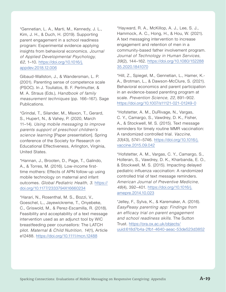\*Gennetian, L. A., Marti, M., Kennedy, J. L., Kim, J. H., & Duch, H. (2019). Supporting parent engagement in a school readiness program: Experimental evidence applying insights from behavioral economics. *Journal of Applied Developmental Psychology, 62*, 1–10. [https://doi.org/10.1016/j.](https://doi.org/10.1016/j.appdev.2018.12.006) [appdev.2018.12.006](https://doi.org/10.1016/j.appdev.2018.12.006)

Gibaud-Wallston, J., & Wandersman, L. P. (2001). Parenting sense of competence scale (PSOC). In J. Touliatos, B. F. Perlmutter, & M. A. Straus (Eds.), *Handbook of family measurement techniques* (pp. 166–167). Sage Publications.

\*Grindal, T., Silander, M., Maxon, T., Gerard, S., Hupert, N., & Vahey, P. (2020, March 11–14). *Using mobile messaging to improve parents support of preschool children's science learning* [Paper presentation]. Spring conference of the Society for Research on Educational Effectiveness, Arlington, Virginia, United States.

\*Hannan, J., Brooten, D., Page, T., Galindo, A., & Torres, M. (2016). Low-income firsttime mothers: Effects of APN follow-up using mobile technology on maternal and infant outcomes. *Global Pediatric Health, 3*. [https://](https://doi.org/10.1177/2333794X16660234) [doi.org/10.1177/2333794X16660234](https://doi.org/10.1177/2333794X16660234)

\*Harari, N., Rosenthal, M. S., Bozzi, V., Goeschel, L., Jayewickreme, T., Onyebeke, C., Griswold, M., & Perez-Escamilla, R. (2018). Feasibility and acceptability of a text message intervention used as an adjunct tool by WIC breastfeeding peer counsellors: The LATCH pilot. *Maternal & Child Nutrition, 14*(1), Article e12488. <https://doi.org/10.1111/mcn.12488>

\*Hayward, R. A., McKillop, A. J., Lee, S. J., Hammock, A. C., Hong, H., & Hou, W. (2021). A text messaging intervention to increase engagement and retention of men in a community-based father involvement program. *Journal of Technology in Human Services, 39*(2), 144–162. [https://doi.org/10.1080/152288](https://doi.org/10.1080/15228835.2020.1841070) [35.2020.1841070](https://doi.org/10.1080/15228835.2020.1841070)

\*Hill, Z., Spiegel, M., Gennetian, L., Hamer, K.- A., Brotman, L., & Dawson-McClure, S. (2021). Behavioral economics and parent participation in an evidence-based parenting program at scale. *Prevention Science, 22*, 891–902. <https://doi.org/10.1007/s11121-021-01249-0>

\*Hofstetter, A. M., DuRivage, N., Vargas, C. Y., Camargo, S., Vawdrey, D. K., Fisher, A., & Stockwell, M. S. (2015). Text message reminders for timely routine MMR vaccination: A randomized controlled trial. *Vaccine, 33*(43), 5741–5746. [https://doi.org/10.1016/j.](https://doi.org/10.1016/j.vaccine.2015.09.042) [vaccine.2015.09.042](https://doi.org/10.1016/j.vaccine.2015.09.042)

\*Hofstetter, A. M., Vargas, C. Y., Camargo, S., Holleran, S., Vawdrey, D. K., Kharbanda, E. O., & Stockwell, M. S. (2015). Impacting delayed pediatric influenza vaccination: A randomized controlled trial of text message reminders. *American Journal of Preventive Medicine, 48*(4), 392–401. [https://doi.org/10.1016/j.](https://doi.org/10.1016/j.amepre.2014.10.023) [amepre.2014.10.023](https://doi.org/10.1016/j.amepre.2014.10.023)

\*Jelley, F., Sylva, K., & Karemaker, A. (2016). *EasyPeasy parenting app: Findings from an efficacy trial on parent engagement and school readiness skills*. The Sutton Trust. [https://ora.ox.ac.uk/objects/](https://ora.ox.ac.uk/objects/uuid:618d7b4a-2fb1-4640-aeac-53de523d3852) [uuid:618d7b4a-2fb1-4640-aeac-53de523d3852](https://ora.ox.ac.uk/objects/uuid:618d7b4a-2fb1-4640-aeac-53de523d3852)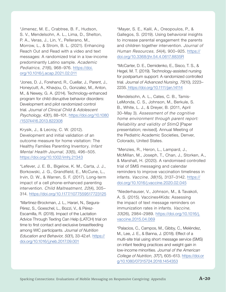\*Jimenez, M. E., Crabtree, B. F., Hudson, S. V., Mendelsohn, A. L., Lima, D., Shelton, P. A., Veras, J., Lin, Y., Pellerano, M., Morrow, L., & Strom, B. L. (2021). Enhancing Reach Out and Read with a video and text messages: A randomized trial in a low-income predominantly Latino sample. *Academic Pediatrics, 21*(6), 968–976. [https://doi.](https://doi.org/10.1016/j.acap.2021.02.011) [org/10.1016/j.acap.2021.02.011](https://doi.org/10.1016/j.acap.2021.02.011)

\*Jones, D. J., Forehand, R., Cuellar, J., Parent, J., Honeycutt, A., Khavjou, O., Gonzalez, M., Anton, M., & Newey, G. A. (2014). Technology-enhanced program for child disruptive behavior disorders: Development and pilot randomized control trial. *Journal of Clinical Child & Adolescent Psychology, 43*(1), 88–101. [https://doi.org/10.1080](https://doi.org/10.1080/15374416.2013.822308) [/15374416.2013.822308](https://doi.org/10.1080/15374416.2013.822308)

Krysik, J., & Lecroy, C. W. (2012). Development and initial validation of an outcome measure for home visitation: The Healthy Families Parenting Inventory. *Infant Mental Health Journal, 33*(5), 496–505. <https://doi.org/10.1002/imhj.21343>

\*Lefever, J. E. B., Bigelow, K. M., Carta, J. J., Borkowski, J. G., Grandfield, E., McCune, L., Irvin, D. W., & Warren, S. F. (2017). Long-term impact of a cell phone-enhanced parenting intervention. *Child Maltreatment, 22*(4), 305– 314. [https://doi.org/10.1177/1077559517723125](https://doi.org/10.1177/1077559517723125 )

\*Martinez-Brockman, J. L., Harari, N., Segura-Pérez, S., Goeschel, L., Bozzi, V., & Pérez-Escamilla, R. (2018). Impact of the Lactation Advice Through Texting Can Help (LATCH) trial on time to first contact and exclusive breastfeeding among WIC participants. *Journal of Nutrition Education and Behavior, 50*(1), 33-42.e1. [https://](https://doi.org/10.1016/j.jneb.2017.09.001 ) [doi.org/10.1016/j.jneb.2017.09.001](https://doi.org/10.1016/j.jneb.2017.09.001 )

\*Mayer, S. E., Kalil, A., Oreopoulos, P., & Gallegos, S. (2019). Using behavioral insights to increase parental engagement the parents and children together intervention. *Journal of Human Resources, 5*4(4), 900–925. [https://](https://doi.org/10.3368/jhr.54.4.0617.8835R) [doi.org/10.3368/jhr.54.4.0617.8835R](https://doi.org/10.3368/jhr.54.4.0617.8835R)

\*McCarter, D. E., Demidenko, E., Sisco, T. S., & Hegel, M. T. (2019). Technology‐assisted nursing for postpartum support: A randomized controlled trial. *Journal of Advanced Nursing, 75*(10), 2223– 2235. [https://doi.org/10.1111/jan.14114]( https://doi.org/10.1111/jan.14114)

Mendelsohn, A. L., Cates, C. B., Tamis-LeMonda, C. S., Johnson, M., Berkule, S. B., White, L. J., & Dreyer, B. (2011, April 30–May 3). *Assessment of the cognitive home environment through parent report: Reliability and validity of StimQ* [Paper presentation; revised]. Annual Meeting of the Pediatric Academic Societies, Denver, Colorado, United States.

\*Menzies, R., Heron, L., Lampard, J., McMillan, M., Joseph, T., Chan, J., Storken, A., & Marshall, H. (2020). A randomised controlled trial of SMS messaging and calendar reminders to improve vaccination timeliness in infants. *Vaccine, 38*(15), 3137–3142. [https://](https://doi.org/10.1016/j.vaccine.2020.02.045) [doi.org/10.1016/j.vaccine.2020.02.045](https://doi.org/10.1016/j.vaccine.2020.02.045)

\*Niederhauser, V., Johnson, M., & Tavakoli, A. S. (2015). Vaccines4Kids: Assessing the impact of text message reminders on immunization rates in infants. *Vaccine, 33*(26), 2984–2989. [https://doi.org/10.1016/j.](https://doi.org/10.1016/j.vaccine.2015.04.069) [vaccine.2015.04.069](https://doi.org/10.1016/j.vaccine.2015.04.069)

\*Palacios, C., Campos, M., Gibby, C., Meléndez, M., Lee, J. E., & Banna, J. (2018). Effect of a multi-site trial using short message service (SMS) on infant feeding practices and weight gain in low-income minorities. *Journal of the American College of Nutrition, 37*(7), 605–613. [https://doi.or](https://doi.org/10.1080/07315724.2018.1454353) [g/10.1080/07315724.2018.1454353](https://doi.org/10.1080/07315724.2018.1454353)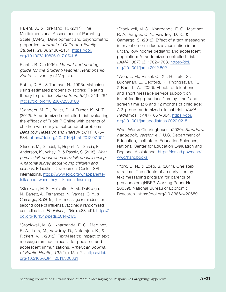Parent, J., & Forehand, R. (2017). The Multidimensional Assessment of Parenting Scale (MAPS): Development and psychometric properties. *Journal of Child and Family Studies, 26*(8), 2136–2151. [https://doi.](https://doi.org/10.1007/s10826-017-0741-5) [org/10.1007/s10826-017-0741-5](https://doi.org/10.1007/s10826-017-0741-5)

Pianta, R. C. (1996). *Manual and scoring guide for the Student-Teacher Relationship Scale.* University of Virginia.

Rubin, D. B., & Thomas, N. (1996). Matching using estimated propensity scores: Relating theory to practice. *Biometrics, 52*(1), 249–264. <https://doi.org/10.2307/2533160>

\*Sanders, M. R., Baker, S., & Turner, K. M. T. (2012). A randomized controlled trial evaluating the efficacy of Triple P Online with parents of children with early-onset conduct problems. *Behaviour Research and Therapy, 50*(11), 675– 684. <https://doi.org/10.1016/j.brat.2012.07.004>

Silander, M., Grindal, T., Hupert, N., Garcia, E., Anderson, K., Vahey, P., & Pasnik, S. (2018). *What parents talk about when they talk about learning: A national survey about young children and science.* Education Development Center; SRI International. [https://www.edc.org/what-parents](https://www.edc.org/what-parents-talk-about-when-they-talk-about-learning)[talk-about-when-they-talk-about-learning](https://www.edc.org/what-parents-talk-about-when-they-talk-about-learning)

\*Stockwell, M. S., Hofstetter, A. M., DuRivage, N., Barrett, A., Fernandez, N., Vargas, C. Y., & Camargo, S. (2015). Text message reminders for second dose of influenza vaccine: a randomized controlled trial. *Pediatrics, 135*(1), e83–e91. [https://](https://doi.org/10.1542/peds.2014-2475) [doi.org/10.1542/peds.2014-2475](https://doi.org/10.1542/peds.2014-2475)

\*Stockwell, M. S., Kharbanda, E. O., Martinez, R. A., Lara, M., Vawdrey, D., Natarajan, K., & Rickert, V. I. (2012). Text4Health: Impact of text message reminder–recalls for pediatric and adolescent immunizations. *American Journal of Public Health, 102*(2), e15–e21. [https://doi.](https://doi.org/10.2105/AJPH.2011.300331) [org/10.2105/AJPH.2011.300331](https://doi.org/10.2105/AJPH.2011.300331)

\*Stockwell, M. S., Kharbanda, E. O., Martinez, R. A., Vargas, C. Y., Vawdrey, D. K., & Camargo, S. (2012). Effect of a text messaging intervention on influenza vaccination in an urban, low-income pediatric and adolescent population: A randomized controlled trial. *JAMA, 307*(16), 1702–1708. [https://doi.](https://doi.org/10.1001/jama.2012.502) [org/10.1001/jama.2012.502](https://doi.org/10.1001/jama.2012.502)

\*Wen, L. M., Rissel, C., Xu, H., Taki, S., Buchanan, L., Bedford, K., Phongsavan, P., & Baur, L. A. (2020). Effects of telephone and short message service support on infant feeding practices,"tummy time," and screen time at 6 and 12 months of child age: A 3-group randomized clinical trial. *JAMA Pediatrics, 174*(7), 657–664. [https://doi.](https://doi.org/10.1001/jamapediatrics.2020.0215) [org/10.1001/jamapediatrics.2020.0215](https://doi.org/10.1001/jamapediatrics.2020.0215)

What Works Clearinghouse. (2020). *Standards handbook, version 4.1.* U.S. Department of Education, Institute of Education Sciences, National Center for Education Evaluation and Regional Assistance. [https://ies.ed.gov/ncee/](https://ies.ed.gov/ncee/wwc/handbooks) [wwc/handbooks](https://ies.ed.gov/ncee/wwc/handbooks)

\*York, B. N., & Loeb, S. (2014). One step at a time: The effects of an early literacy text messaging program for parents of preschoolers (NBER Working Paper No. 20659). National Bureau of Economic Research. https://doi.org/10.3386/w20659